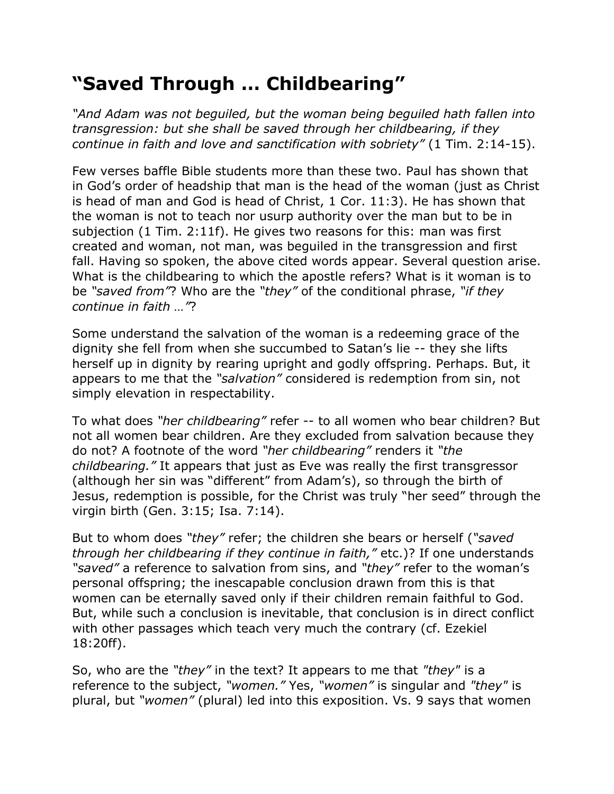## **"Saved Through … Childbearing"**

*"And Adam was not beguiled, but the woman being beguiled hath fallen into transgression: but she shall be saved through her childbearing, if they continue in faith and love and sanctification with sobriety"* (1 Tim. 2:14-15).

Few verses baffle Bible students more than these two. Paul has shown that in God's order of headship that man is the head of the woman (just as Christ is head of man and God is head of Christ, 1 Cor. 11:3). He has shown that the woman is not to teach nor usurp authority over the man but to be in subjection (1 Tim. 2:11f). He gives two reasons for this: man was first created and woman, not man, was beguiled in the transgression and first fall. Having so spoken, the above cited words appear. Several question arise. What is the childbearing to which the apostle refers? What is it woman is to be *"saved from"*? Who are the *"they"* of the conditional phrase, *"if they continue in faith …"*?

Some understand the salvation of the woman is a redeeming grace of the dignity she fell from when she succumbed to Satan's lie -- they she lifts herself up in dignity by rearing upright and godly offspring. Perhaps. But, it appears to me that the *"salvation"* considered is redemption from sin, not simply elevation in respectability.

To what does *"her childbearing"* refer -- to all women who bear children? But not all women bear children. Are they excluded from salvation because they do not? A footnote of the word *"her childbearing"* renders it *"the childbearing."* It appears that just as Eve was really the first transgressor (although her sin was "different" from Adam's), so through the birth of Jesus, redemption is possible, for the Christ was truly "her seed" through the virgin birth (Gen. 3:15; Isa. 7:14).

But to whom does *"they"* refer; the children she bears or herself (*"saved through her childbearing if they continue in faith,"* etc.)? If one understands *"saved"* a reference to salvation from sins, and *"they"* refer to the woman's personal offspring; the inescapable conclusion drawn from this is that women can be eternally saved only if their children remain faithful to God. But, while such a conclusion is inevitable, that conclusion is in direct conflict with other passages which teach very much the contrary (cf. Ezekiel 18:20ff).

So, who are the *"they"* in the text? It appears to me that *"they"* is a reference to the subject, *"women."* Yes, *"women"* is singular and *"they"* is plural, but *"women"* (plural) led into this exposition. Vs. 9 says that women